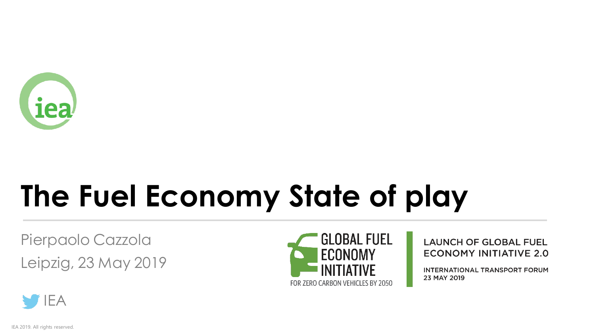

# **The Fuel Economy State of play**

Pierpaolo Cazzola Leipzig, 23 May 2019



**LAUNCH OF GLOBAL FUEL ECONOMY INITIATIVE 2.0** 

**INTERNATIONAL TRANSPORT FORUM** 23 MAY 2019



IEA 2019. All rights reserved.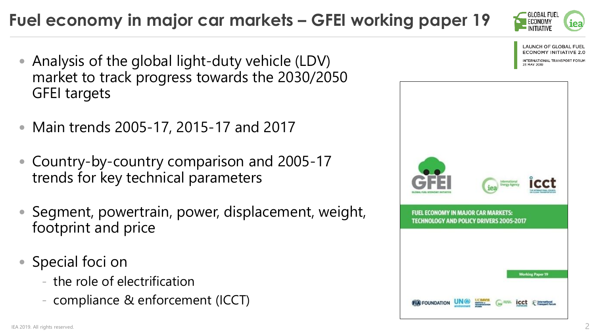### **Fuel economy in major car markets – GFEI working paper 19**

- Analysis of the global light-duty vehicle (LDV) market to track progress towards the 2030/2050 GFEI targets
- Main trends 2005-17, 2015-17 and 2017
- Country-by-country comparison and 2005-17 trends for key technical parameters
- Segment, powertrain, power, displacement, weight, footprint and price
- Special foci on
	- the role of electrification
	- compliance & enforcement (ICCT)





**LAUNCH OF GLOBAL FUEL** ECONOMY INITIATIVE 2.0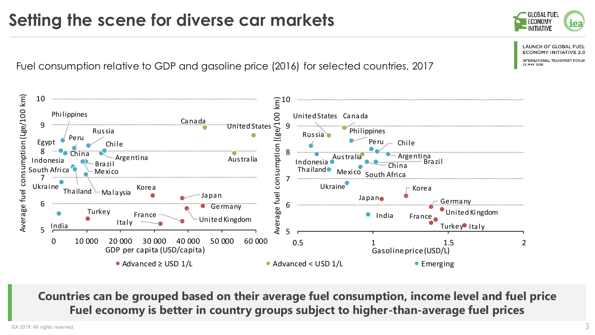# **Setting the scene for diverse car markets**

Fuel consumption relative to GDP and gasoline price (2016) for selected countries, 2017



**Countries can be grouped based on their average fuel consumption, income level and fuel price Fuel economy is better in country groups subject to higher-than-average fuel prices**

IEA 2019. All rights reserved.  $\sim$ 



LOBAL FUEI

**LAUNCH OF GLOBAL FUEI ECONOMY INITIATIVE 2.0** NTERNATIONAL TRANSPORT

ITIATIVE

**23 MAY 2019** 

iea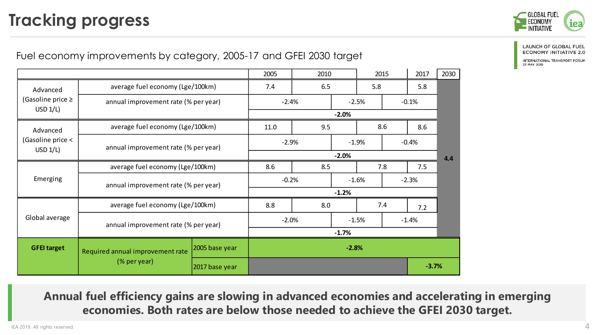## **Tracking progress**



### Fuel economy improvements by category, 2005-17 and GFEI 2030 target

|                                               |                                                  |                | 2005    | 2010    |         | 2015               |         | 2017    | 2030 |  |
|-----------------------------------------------|--------------------------------------------------|----------------|---------|---------|---------|--------------------|---------|---------|------|--|
| Advanced<br>(Gasoline price $\geq$<br>USD 1/L | average fuel economy (Lge/100km)                 |                | 7.4     | 6.5     |         |                    | 5.8     |         |      |  |
|                                               | annual improvement rate (% per year)             |                | $-2.4%$ |         |         | $-2.5%$            |         | $-0.1%$ |      |  |
|                                               |                                                  |                | $-2.0%$ |         |         |                    |         |         |      |  |
| Advanced<br>(Gasoline price <<br>USD 1/L      | average fuel economy (Lge/100km)                 |                | 11.0    | 9.5     |         |                    | 8.6     | 8.6     |      |  |
|                                               | annual improvement rate (% per year)             |                |         | $-2.9%$ |         | $-1.9%$            |         | $-0.4%$ |      |  |
|                                               |                                                  |                | $-2.0%$ |         |         |                    |         |         | 4.4  |  |
| Emerging                                      | average fuel economy (Lge/100km)                 |                | 8.6     | 8.5     |         |                    | 7.8     | 7.5     |      |  |
|                                               | annual improvement rate (% per year)             |                |         | $-0.2%$ |         | $-2.3%$<br>$-1.6%$ |         |         |      |  |
|                                               |                                                  |                | $-1.2%$ |         |         |                    |         |         |      |  |
| Global average                                | average fuel economy (Lge/100km)                 |                | 8.8     | 8.0     |         |                    | 7.4     | 7.2     |      |  |
|                                               | annual improvement rate (% per year)             |                | $-2.0%$ |         | $-1.5%$ |                    | $-1.4%$ |         |      |  |
|                                               |                                                  |                | $-1.7%$ |         |         |                    |         |         |      |  |
| <b>GFEI target</b>                            | Required annual improvement rate<br>(% per year) | 2005 base year | $-2.8%$ |         |         |                    |         |         |      |  |
|                                               |                                                  | 2017 base year |         |         |         |                    |         | $-3.7%$ |      |  |

**Annual fuel efficiency gains are slowing in advanced economies and accelerating in emerging economies. Both rates are below those needed to achieve the GFEI 2030 target.**

**LAUNCH OF GLOBAL FUEL ECONOMY INITIATIVE 2.0** 

INTERNATIONAL TRANSPORT FORUM 23 MAY 2019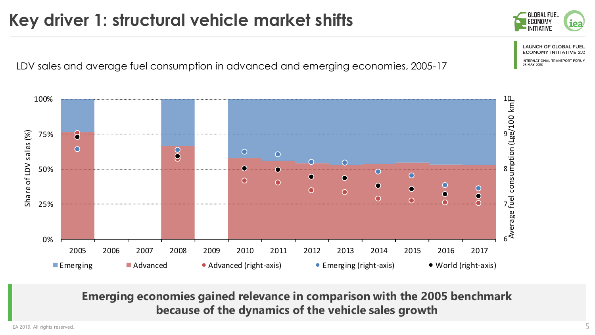## **Key driver 1: structural vehicle market shifts**

LDV sales and average fuel consumption in advanced and emerging economies, 2005-17



**Emerging economies gained relevance in comparison with the 2005 benchmark because of the dynamics of the vehicle sales growth**

IEA 2019. All rights reserved.  $5$ 

**GLOBAL FUEL** ECONOMY iea NITIATIVE

> **LAUNCH OF GLOBAL FUEL ECONOMY INITIATIVE 2.0 INTERNATIONAL TRANSPORT FORUM**

**23 MAY 2019**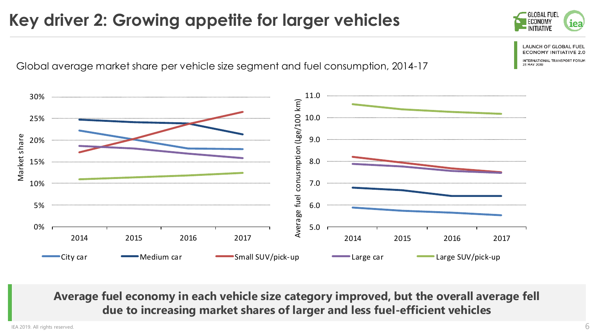### **Key driver 2: Growing appetite for larger vehicles**



**AUNCH OF GLOBAL FCONOMY INITI.** 

NTERNATIONAL TRANSPORT **23 MAY 2019** 

Global average market share per vehicle size segment and fuel consumption, 2014-17



**Average fuel economy in each vehicle size category improved, but the overall average fell due to increasing market shares of larger and less fuel-efficient vehicles**

IEA 2019. All rights reserved.  $6$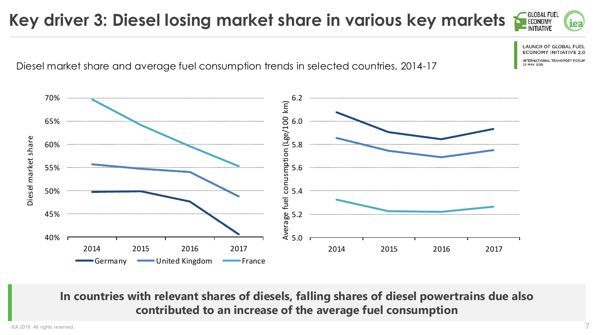#### **GLOBAL FUEL Key driver 3: Diesel losing market share in various key markets**

Diesel market share and average fuel consumption trends in selected countries, 2014-17



**In countries with relevant shares of diesels, falling shares of diesel powertrains due also contributed to an increase of the average fuel consumption**

iea

LAUNCH OF GLOBAI

**FCONOMY INITIAT** 

NTERNATIONAL TRANSPORT **23 MAY 2019**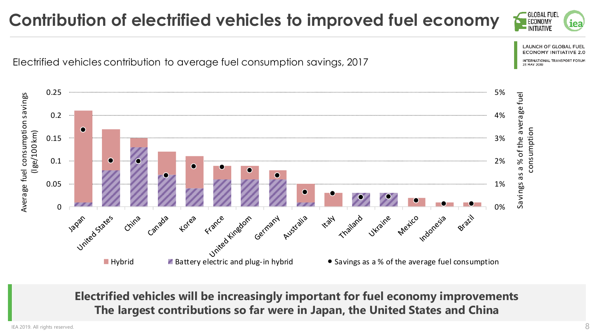### **Contribution of electrified vehicles to improved fuel economy**

 $\frac{1}{2}$ <br>  $\frac{1}{2}$ <br>  $\frac{1}{2}$ <br>  $\frac{1}{2}$ <br>  $\frac{1}{2}$ <br>  $\frac{1}{2}$ <br>  $\frac{1}{2}$ <br>  $\frac{1}{2}$ <br>  $\frac{1}{2}$ <br>  $\frac{1}{2}$ <br>  $\frac{1}{2}$ <br>  $\frac{1}{2}$ <br>  $\frac{1}{2}$ <br>  $\frac{1}{2}$ <br>  $\frac{1}{2}$ <br>  $\frac{1}{2}$ <br>  $\frac{1}{2}$ <br>  $\frac{1}{2}$ <br>  $\frac{1}{2}$ <br>  $\frac{1}{2}$ <br> 0.25 5 % 0.2 4 % 0.15 3 % 0.1 2 % 0.05 1 % 0 % United States Germany Australia trailand ukraine pletico donesia Critra

> **Electrified vehicles will be increasingly important for fuel economy improvements The largest contributions so far were in Japan, the United States and China**

Electrified vehicles contribution to average fuel consumption savings, 2017





LAUNCH OF GLOBAL **FCONOMY INITIATI** NTERNATIONAL TRANSPORT FORU

**23 MAY 2019** 

LOBAL FUEI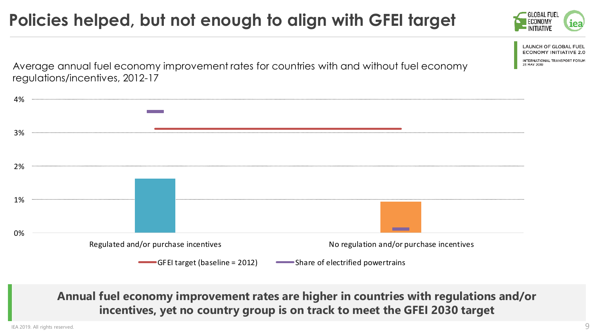### **Policies helped, but not enough to align with GFEI target**



| 3% |                                                                                  |
|----|----------------------------------------------------------------------------------|
| 2% |                                                                                  |
| 1% |                                                                                  |
| 0% | No regulation and/or purchase incentives<br>Regulated and/or purchase incentives |
|    | Share of electrified powertrains<br>GFEI target (baseline = 2012)                |

**Annual fuel economy improvement rates are higher in countries with regulations and/or incentives, yet no country group is on track to meet the GFEI 2030 target**

IEA 2019. All rights reserved. 9

**GLOBAL FUEL** 

23 MAY 2019

**LAUNCH OF GLOBAL FUEL ECONOMY INITIATIVE 2.0** INTERNATIONAL TRANSPORT FORUM

(iea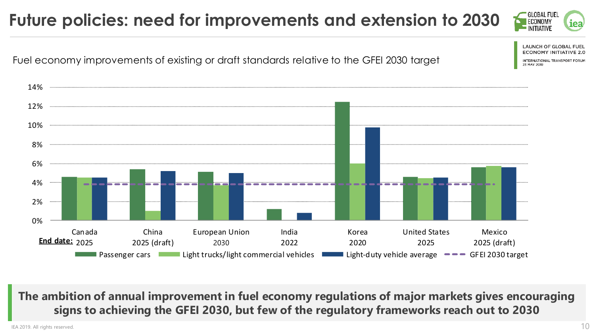### OBAL FUE. **Future policies: need for improvements and extension to 2030** iea **LAUNCH OF GLOBAL FUEL ECONOMY INITIATI** Fuel economy improvements of existing or draft standards relative to the GFEI 2030 target NTERNATIONAL TRANSPORT FORU 23 MAY 2019 14% 12% 10%



**The ambition of annual improvement in fuel economy regulations of major markets gives encouraging signs to achieving the GFEI 2030, but few of the regulatory frameworks reach out to 2030**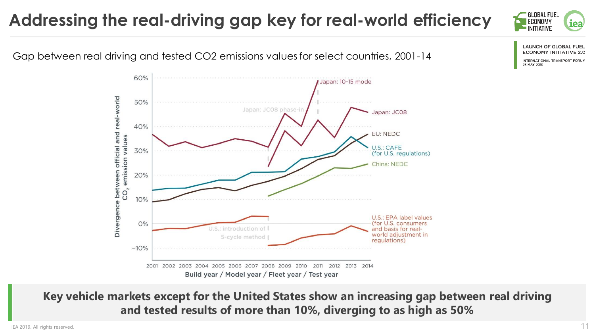### **Addressing the real-driving gap key for real-world efficiency**





**LAUNCH OF GLOBAL FUEL ECONOMY INITIATIVE 2.0** 

**INTERNATIONAL TRANSPORT FORUM** 23 MAY 2019

**Key vehicle markets except for the United States show an increasing gap between real driving and tested results of more than 10%, diverging to as high as 50%**